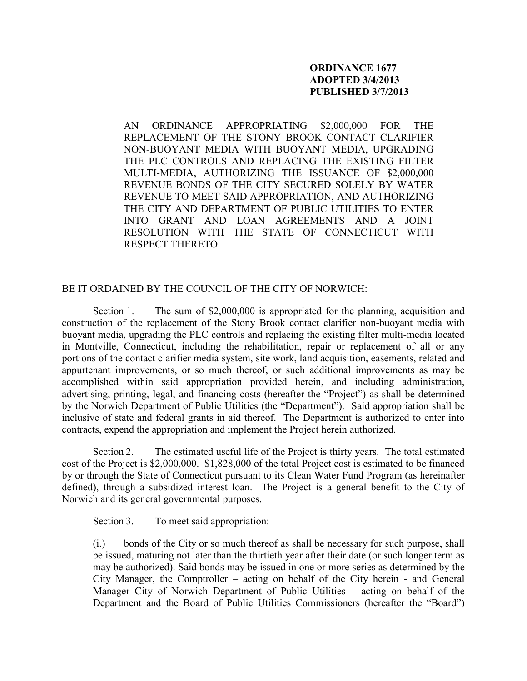## **ORDINANCE 1677 ADOPTED 3/4/2013 PUBLISHED 3/7/2013**

AN ORDINANCE APPROPRIATING \$2,000,000 FOR THE REPLACEMENT OF THE STONY BROOK CONTACT CLARIFIER NON-BUOYANT MEDIA WITH BUOYANT MEDIA, UPGRADING THE PLC CONTROLS AND REPLACING THE EXISTING FILTER MULTI-MEDIA, AUTHORIZING THE ISSUANCE OF \$2,000,000 REVENUE BONDS OF THE CITY SECURED SOLELY BY WATER REVENUE TO MEET SAID APPROPRIATION, AND AUTHORIZING THE CITY AND DEPARTMENT OF PUBLIC UTILITIES TO ENTER INTO GRANT AND LOAN AGREEMENTS AND A JOINT RESOLUTION WITH THE STATE OF CONNECTICUT WITH RESPECT THERETO.

BE IT ORDAINED BY THE COUNCIL OF THE CITY OF NORWICH:

Section 1. The sum of \$2,000,000 is appropriated for the planning, acquisition and construction of the replacement of the Stony Brook contact clarifier non-buoyant media with buoyant media, upgrading the PLC controls and replacing the existing filter multi-media located in Montville, Connecticut, including the rehabilitation, repair or replacement of all or any portions of the contact clarifier media system, site work, land acquisition, easements, related and appurtenant improvements, or so much thereof, or such additional improvements as may be accomplished within said appropriation provided herein, and including administration, advertising, printing, legal, and financing costs (hereafter the "Project") as shall be determined by the Norwich Department of Public Utilities (the "Department"). Said appropriation shall be inclusive of state and federal grants in aid thereof. The Department is authorized to enter into contracts, expend the appropriation and implement the Project herein authorized.

Section 2. The estimated useful life of the Project is thirty years. The total estimated cost of the Project is \$2,000,000. \$1,828,000 of the total Project cost is estimated to be financed by or through the State of Connecticut pursuant to its Clean Water Fund Program (as hereinafter defined), through a subsidized interest loan. The Project is a general benefit to the City of Norwich and its general governmental purposes.

Section 3. To meet said appropriation:

(i.) bonds of the City or so much thereof as shall be necessary for such purpose, shall be issued, maturing not later than the thirtieth year after their date (or such longer term as may be authorized). Said bonds may be issued in one or more series as determined by the City Manager, the Comptroller – acting on behalf of the City herein - and General Manager City of Norwich Department of Public Utilities – acting on behalf of the Department and the Board of Public Utilities Commissioners (hereafter the "Board")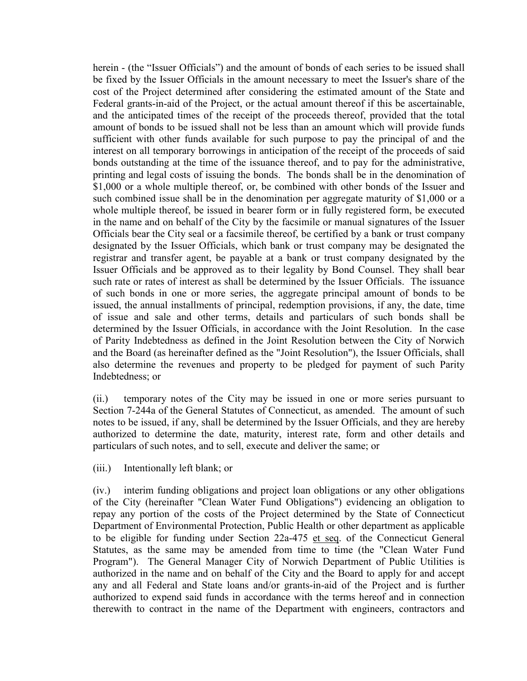herein - (the "Issuer Officials") and the amount of bonds of each series to be issued shall be fixed by the Issuer Officials in the amount necessary to meet the Issuer's share of the cost of the Project determined after considering the estimated amount of the State and Federal grants-in-aid of the Project, or the actual amount thereof if this be ascertainable, and the anticipated times of the receipt of the proceeds thereof, provided that the total amount of bonds to be issued shall not be less than an amount which will provide funds sufficient with other funds available for such purpose to pay the principal of and the interest on all temporary borrowings in anticipation of the receipt of the proceeds of said bonds outstanding at the time of the issuance thereof, and to pay for the administrative, printing and legal costs of issuing the bonds. The bonds shall be in the denomination of \$1,000 or a whole multiple thereof, or, be combined with other bonds of the Issuer and such combined issue shall be in the denomination per aggregate maturity of \$1,000 or a whole multiple thereof, be issued in bearer form or in fully registered form, be executed in the name and on behalf of the City by the facsimile or manual signatures of the Issuer Officials bear the City seal or a facsimile thereof, be certified by a bank or trust company designated by the Issuer Officials, which bank or trust company may be designated the registrar and transfer agent, be payable at a bank or trust company designated by the Issuer Officials and be approved as to their legality by Bond Counsel. They shall bear such rate or rates of interest as shall be determined by the Issuer Officials. The issuance of such bonds in one or more series, the aggregate principal amount of bonds to be issued, the annual installments of principal, redemption provisions, if any, the date, time of issue and sale and other terms, details and particulars of such bonds shall be determined by the Issuer Officials, in accordance with the Joint Resolution. In the case of Parity Indebtedness as defined in the Joint Resolution between the City of Norwich and the Board (as hereinafter defined as the "Joint Resolution"), the Issuer Officials, shall also determine the revenues and property to be pledged for payment of such Parity Indebtedness; or

(ii.) temporary notes of the City may be issued in one or more series pursuant to Section 7-244a of the General Statutes of Connecticut, as amended. The amount of such notes to be issued, if any, shall be determined by the Issuer Officials, and they are hereby authorized to determine the date, maturity, interest rate, form and other details and particulars of such notes, and to sell, execute and deliver the same; or

(iii.) Intentionally left blank; or

(iv.) interim funding obligations and project loan obligations or any other obligations of the City (hereinafter "Clean Water Fund Obligations") evidencing an obligation to repay any portion of the costs of the Project determined by the State of Connecticut Department of Environmental Protection, Public Health or other department as applicable to be eligible for funding under Section 22a-475 et seq. of the Connecticut General Statutes, as the same may be amended from time to time (the "Clean Water Fund Program"). The General Manager City of Norwich Department of Public Utilities is authorized in the name and on behalf of the City and the Board to apply for and accept any and all Federal and State loans and/or grants-in-aid of the Project and is further authorized to expend said funds in accordance with the terms hereof and in connection therewith to contract in the name of the Department with engineers, contractors and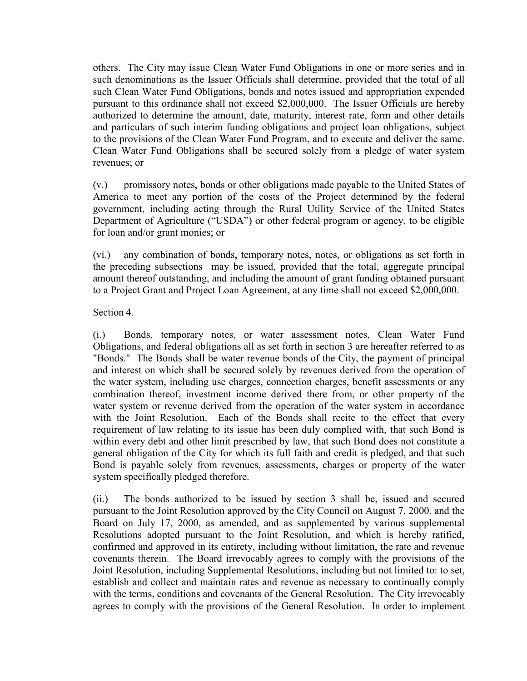others. The City may issue Clean Water Fund Obligations in one or more series and in such denominations as the Issuer Officials shall determine, provided that the total of all such Clean Water Fund Obligations, bonds and notes issued and appropriation expended pursuant to this ordinance shall not exceed \$2,000,000. The Issuer Officials are hereby authorized to determine the amount, date, maturity, interest rate, form and other details and particulars of such interim funding obligations and project loan obligations, subject to the provisions of the Clean Water Fund Program, and to execute and deliver the same. Clean Water Fund Obligations shall be secured solely from a pledge of water system revenues; or

(v.) promissory notes, bonds or other obligations made payable to the United States of America to meet any portion of the costs of the Project determined by the federal government, including acting through the Rural Utility Service of the United States Department of Agriculture ("USDA") or other federal program or agency, to be eligible for loan and/or grant monies; or

(vi.) any combination of bonds, temporary notes, notes, or obligations as set forth in the preceding subsections may be issued, provided that the total, aggregate principal amount thereof outstanding, and including the amount of grant funding obtained pursuant to a Project Grant and Project Loan Agreement, at any time shall not exceed \$2,000,000.

## Section 4.

(i.) Bonds, temporary notes, or water assessment notes, Clean Water Fund Obligations, and federal obligations all as set forth in section 3 are hereafter referred to as "Bonds." The Bonds shall be water revenue bonds of the City, the payment of principal and interest on which shall be secured solely by revenues derived from the operation of the water system, including use charges, connection charges, benefit assessments or any combination thereof, investment income derived there from, or other property of the water system or revenue derived from the operation of the water system in accordance with the Joint Resolution. Each of the Bonds shall recite to the effect that every requirement of law relating to its issue has been duly complied with, that such Bond is within every debt and other limit prescribed by law, that such Bond does not constitute a general obligation of the City for which its full faith and credit is pledged, and that such Bond is payable solely from revenues, assessments, charges or property of the water system specifically pledged therefore.

(ii.) The bonds authorized to be issued by section 3 shall be, issued and secured pursuant to the Joint Resolution approved by the City Council on August 7, 2000, and the Board on July 17, 2000, as amended, and as supplemented by various supplemental Resolutions adopted pursuant to the Joint Resolution, and which is hereby ratified, confirmed and approved in its entirety, including without limitation, the rate and revenue covenants therein. The Board irrevocably agrees to comply with the provisions of the Joint Resolution, including Supplemental Resolutions, including but not limited to: to set, establish and collect and maintain rates and revenue as necessary to continually comply with the terms, conditions and covenants of the General Resolution. The City irrevocably agrees to comply with the provisions of the General Resolution. In order to implement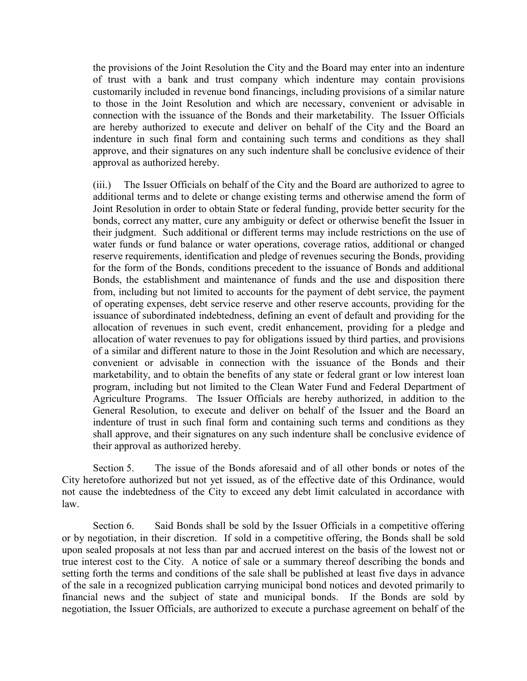the provisions of the Joint Resolution the City and the Board may enter into an indenture of trust with a bank and trust company which indenture may contain provisions customarily included in revenue bond financings, including provisions of a similar nature to those in the Joint Resolution and which are necessary, convenient or advisable in connection with the issuance of the Bonds and their marketability. The Issuer Officials are hereby authorized to execute and deliver on behalf of the City and the Board an indenture in such final form and containing such terms and conditions as they shall approve, and their signatures on any such indenture shall be conclusive evidence of their approval as authorized hereby.

(iii.) The Issuer Officials on behalf of the City and the Board are authorized to agree to additional terms and to delete or change existing terms and otherwise amend the form of Joint Resolution in order to obtain State or federal funding, provide better security for the bonds, correct any matter, cure any ambiguity or defect or otherwise benefit the Issuer in their judgment. Such additional or different terms may include restrictions on the use of water funds or fund balance or water operations, coverage ratios, additional or changed reserve requirements, identification and pledge of revenues securing the Bonds, providing for the form of the Bonds, conditions precedent to the issuance of Bonds and additional Bonds, the establishment and maintenance of funds and the use and disposition there from, including but not limited to accounts for the payment of debt service, the payment of operating expenses, debt service reserve and other reserve accounts, providing for the issuance of subordinated indebtedness, defining an event of default and providing for the allocation of revenues in such event, credit enhancement, providing for a pledge and allocation of water revenues to pay for obligations issued by third parties, and provisions of a similar and different nature to those in the Joint Resolution and which are necessary, convenient or advisable in connection with the issuance of the Bonds and their marketability, and to obtain the benefits of any state or federal grant or low interest loan program, including but not limited to the Clean Water Fund and Federal Department of Agriculture Programs. The Issuer Officials are hereby authorized, in addition to the General Resolution, to execute and deliver on behalf of the Issuer and the Board an indenture of trust in such final form and containing such terms and conditions as they shall approve, and their signatures on any such indenture shall be conclusive evidence of their approval as authorized hereby.

Section 5. The issue of the Bonds aforesaid and of all other bonds or notes of the City heretofore authorized but not yet issued, as of the effective date of this Ordinance, would not cause the indebtedness of the City to exceed any debt limit calculated in accordance with law.

Section 6. Said Bonds shall be sold by the Issuer Officials in a competitive offering or by negotiation, in their discretion. If sold in a competitive offering, the Bonds shall be sold upon sealed proposals at not less than par and accrued interest on the basis of the lowest not or true interest cost to the City. A notice of sale or a summary thereof describing the bonds and setting forth the terms and conditions of the sale shall be published at least five days in advance of the sale in a recognized publication carrying municipal bond notices and devoted primarily to financial news and the subject of state and municipal bonds. If the Bonds are sold by negotiation, the Issuer Officials, are authorized to execute a purchase agreement on behalf of the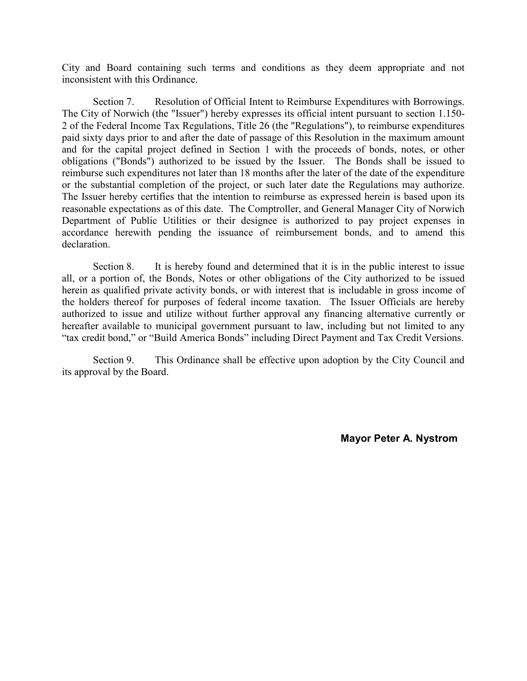City and Board containing such terms and conditions as they deem appropriate and not inconsistent with this Ordinance.

Section 7. Resolution of Official Intent to Reimburse Expenditures with Borrowings. The City of Norwich (the "Issuer") hereby expresses its official intent pursuant to section 1.150- 2 of the Federal Income Tax Regulations, Title 26 (the "Regulations"), to reimburse expenditures paid sixty days prior to and after the date of passage of this Resolution in the maximum amount and for the capital project defined in Section 1 with the proceeds of bonds, notes, or other obligations ("Bonds") authorized to be issued by the Issuer. The Bonds shall be issued to reimburse such expenditures not later than 18 months after the later of the date of the expenditure or the substantial completion of the project, or such later date the Regulations may authorize. The Issuer hereby certifies that the intention to reimburse as expressed herein is based upon its reasonable expectations as of this date. The Comptroller, and General Manager City of Norwich Department of Public Utilities or their designee is authorized to pay project expenses in accordance herewith pending the issuance of reimbursement bonds, and to amend this declaration.

Section 8. It is hereby found and determined that it is in the public interest to issue all, or a portion of, the Bonds, Notes or other obligations of the City authorized to be issued herein as qualified private activity bonds, or with interest that is includable in gross income of the holders thereof for purposes of federal income taxation. The Issuer Officials are hereby authorized to issue and utilize without further approval any financing alternative currently or hereafter available to municipal government pursuant to law, including but not limited to any "tax credit bond," or "Build America Bonds" including Direct Payment and Tax Credit Versions.

Section 9. This Ordinance shall be effective upon adoption by the City Council and its approval by the Board.

**Mayor Peter A. Nystrom**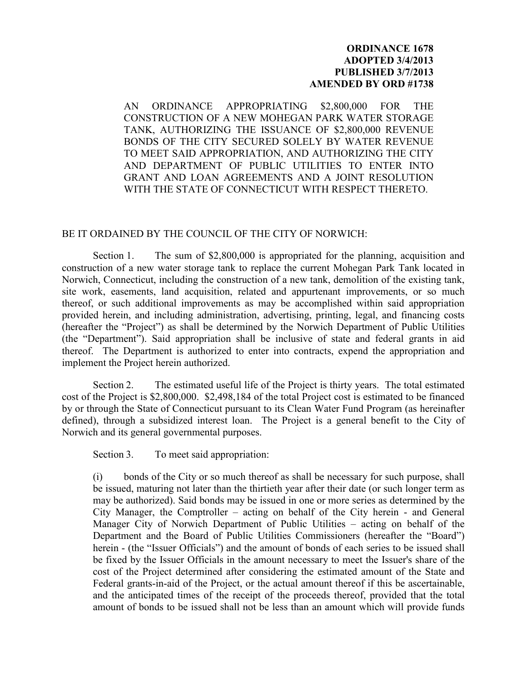#### **ORDINANCE 1678 ADOPTED 3/4/2013 PUBLISHED 3/7/2013 AMENDED BY ORD #1738**

AN ORDINANCE APPROPRIATING \$2,800,000 FOR THE CONSTRUCTION OF A NEW MOHEGAN PARK WATER STORAGE TANK, AUTHORIZING THE ISSUANCE OF \$2,800,000 REVENUE BONDS OF THE CITY SECURED SOLELY BY WATER REVENUE TO MEET SAID APPROPRIATION, AND AUTHORIZING THE CITY AND DEPARTMENT OF PUBLIC UTILITIES TO ENTER INTO GRANT AND LOAN AGREEMENTS AND A JOINT RESOLUTION WITH THE STATE OF CONNECTICUT WITH RESPECT THERETO.

#### BE IT ORDAINED BY THE COUNCIL OF THE CITY OF NORWICH:

Section 1. The sum of \$2,800,000 is appropriated for the planning, acquisition and construction of a new water storage tank to replace the current Mohegan Park Tank located in Norwich, Connecticut, including the construction of a new tank, demolition of the existing tank, site work, easements, land acquisition, related and appurtenant improvements, or so much thereof, or such additional improvements as may be accomplished within said appropriation provided herein, and including administration, advertising, printing, legal, and financing costs (hereafter the "Project") as shall be determined by the Norwich Department of Public Utilities (the "Department"). Said appropriation shall be inclusive of state and federal grants in aid thereof. The Department is authorized to enter into contracts, expend the appropriation and implement the Project herein authorized.

Section 2. The estimated useful life of the Project is thirty years. The total estimated cost of the Project is \$2,800,000. \$2,498,184 of the total Project cost is estimated to be financed by or through the State of Connecticut pursuant to its Clean Water Fund Program (as hereinafter defined), through a subsidized interest loan. The Project is a general benefit to the City of Norwich and its general governmental purposes.

Section 3. To meet said appropriation:

(i) bonds of the City or so much thereof as shall be necessary for such purpose, shall be issued, maturing not later than the thirtieth year after their date (or such longer term as may be authorized). Said bonds may be issued in one or more series as determined by the City Manager, the Comptroller – acting on behalf of the City herein - and General Manager City of Norwich Department of Public Utilities – acting on behalf of the Department and the Board of Public Utilities Commissioners (hereafter the "Board") herein - (the "Issuer Officials") and the amount of bonds of each series to be issued shall be fixed by the Issuer Officials in the amount necessary to meet the Issuer's share of the cost of the Project determined after considering the estimated amount of the State and Federal grants-in-aid of the Project, or the actual amount thereof if this be ascertainable, and the anticipated times of the receipt of the proceeds thereof, provided that the total amount of bonds to be issued shall not be less than an amount which will provide funds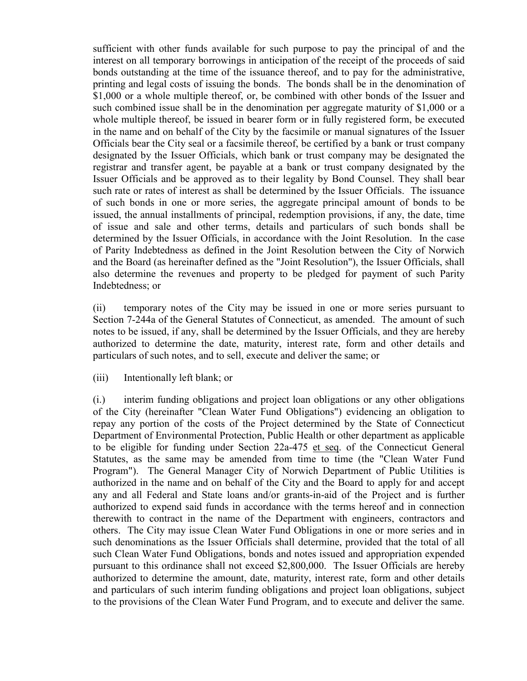sufficient with other funds available for such purpose to pay the principal of and the interest on all temporary borrowings in anticipation of the receipt of the proceeds of said bonds outstanding at the time of the issuance thereof, and to pay for the administrative, printing and legal costs of issuing the bonds. The bonds shall be in the denomination of \$1,000 or a whole multiple thereof, or, be combined with other bonds of the Issuer and such combined issue shall be in the denomination per aggregate maturity of \$1,000 or a whole multiple thereof, be issued in bearer form or in fully registered form, be executed in the name and on behalf of the City by the facsimile or manual signatures of the Issuer Officials bear the City seal or a facsimile thereof, be certified by a bank or trust company designated by the Issuer Officials, which bank or trust company may be designated the registrar and transfer agent, be payable at a bank or trust company designated by the Issuer Officials and be approved as to their legality by Bond Counsel. They shall bear such rate or rates of interest as shall be determined by the Issuer Officials. The issuance of such bonds in one or more series, the aggregate principal amount of bonds to be issued, the annual installments of principal, redemption provisions, if any, the date, time of issue and sale and other terms, details and particulars of such bonds shall be determined by the Issuer Officials, in accordance with the Joint Resolution. In the case of Parity Indebtedness as defined in the Joint Resolution between the City of Norwich and the Board (as hereinafter defined as the "Joint Resolution"), the Issuer Officials, shall also determine the revenues and property to be pledged for payment of such Parity Indebtedness; or

(ii) temporary notes of the City may be issued in one or more series pursuant to Section 7-244a of the General Statutes of Connecticut, as amended. The amount of such notes to be issued, if any, shall be determined by the Issuer Officials, and they are hereby authorized to determine the date, maturity, interest rate, form and other details and particulars of such notes, and to sell, execute and deliver the same; or

(iii) Intentionally left blank; or

(i.) interim funding obligations and project loan obligations or any other obligations of the City (hereinafter "Clean Water Fund Obligations") evidencing an obligation to repay any portion of the costs of the Project determined by the State of Connecticut Department of Environmental Protection, Public Health or other department as applicable to be eligible for funding under Section 22a-475 et seq. of the Connecticut General Statutes, as the same may be amended from time to time (the "Clean Water Fund Program"). The General Manager City of Norwich Department of Public Utilities is authorized in the name and on behalf of the City and the Board to apply for and accept any and all Federal and State loans and/or grants-in-aid of the Project and is further authorized to expend said funds in accordance with the terms hereof and in connection therewith to contract in the name of the Department with engineers, contractors and others. The City may issue Clean Water Fund Obligations in one or more series and in such denominations as the Issuer Officials shall determine, provided that the total of all such Clean Water Fund Obligations, bonds and notes issued and appropriation expended pursuant to this ordinance shall not exceed \$2,800,000. The Issuer Officials are hereby authorized to determine the amount, date, maturity, interest rate, form and other details and particulars of such interim funding obligations and project loan obligations, subject to the provisions of the Clean Water Fund Program, and to execute and deliver the same.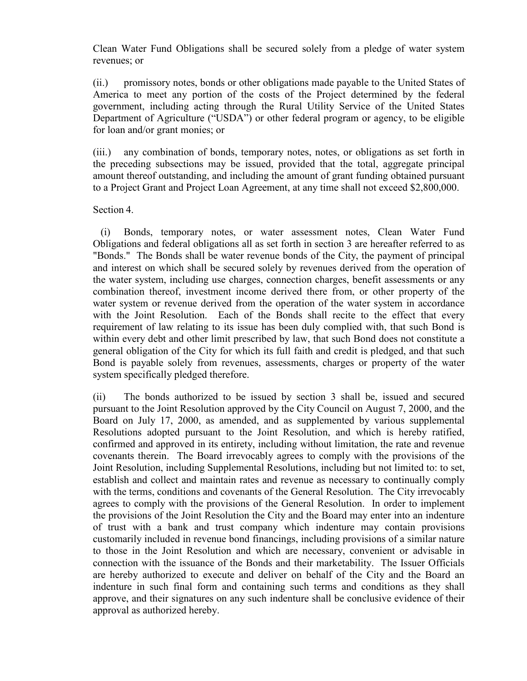Clean Water Fund Obligations shall be secured solely from a pledge of water system revenues; or

(ii.) promissory notes, bonds or other obligations made payable to the United States of America to meet any portion of the costs of the Project determined by the federal government, including acting through the Rural Utility Service of the United States Department of Agriculture ("USDA") or other federal program or agency, to be eligible for loan and/or grant monies; or

(iii.) any combination of bonds, temporary notes, notes, or obligations as set forth in the preceding subsections may be issued, provided that the total, aggregate principal amount thereof outstanding, and including the amount of grant funding obtained pursuant to a Project Grant and Project Loan Agreement, at any time shall not exceed \$2,800,000.

## Section 4.

(i) Bonds, temporary notes, or water assessment notes, Clean Water Fund Obligations and federal obligations all as set forth in section 3 are hereafter referred to as "Bonds." The Bonds shall be water revenue bonds of the City, the payment of principal and interest on which shall be secured solely by revenues derived from the operation of the water system, including use charges, connection charges, benefit assessments or any combination thereof, investment income derived there from, or other property of the water system or revenue derived from the operation of the water system in accordance with the Joint Resolution. Each of the Bonds shall recite to the effect that every requirement of law relating to its issue has been duly complied with, that such Bond is within every debt and other limit prescribed by law, that such Bond does not constitute a general obligation of the City for which its full faith and credit is pledged, and that such Bond is payable solely from revenues, assessments, charges or property of the water system specifically pledged therefore.

(ii) The bonds authorized to be issued by section 3 shall be, issued and secured pursuant to the Joint Resolution approved by the City Council on August 7, 2000, and the Board on July 17, 2000, as amended, and as supplemented by various supplemental Resolutions adopted pursuant to the Joint Resolution, and which is hereby ratified, confirmed and approved in its entirety, including without limitation, the rate and revenue covenants therein. The Board irrevocably agrees to comply with the provisions of the Joint Resolution, including Supplemental Resolutions, including but not limited to: to set, establish and collect and maintain rates and revenue as necessary to continually comply with the terms, conditions and covenants of the General Resolution. The City irrevocably agrees to comply with the provisions of the General Resolution. In order to implement the provisions of the Joint Resolution the City and the Board may enter into an indenture of trust with a bank and trust company which indenture may contain provisions customarily included in revenue bond financings, including provisions of a similar nature to those in the Joint Resolution and which are necessary, convenient or advisable in connection with the issuance of the Bonds and their marketability. The Issuer Officials are hereby authorized to execute and deliver on behalf of the City and the Board an indenture in such final form and containing such terms and conditions as they shall approve, and their signatures on any such indenture shall be conclusive evidence of their approval as authorized hereby.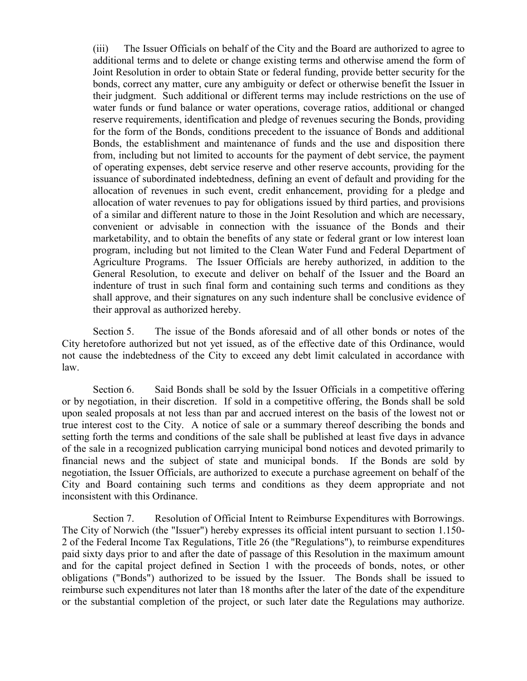(iii) The Issuer Officials on behalf of the City and the Board are authorized to agree to additional terms and to delete or change existing terms and otherwise amend the form of Joint Resolution in order to obtain State or federal funding, provide better security for the bonds, correct any matter, cure any ambiguity or defect or otherwise benefit the Issuer in their judgment. Such additional or different terms may include restrictions on the use of water funds or fund balance or water operations, coverage ratios, additional or changed reserve requirements, identification and pledge of revenues securing the Bonds, providing for the form of the Bonds, conditions precedent to the issuance of Bonds and additional Bonds, the establishment and maintenance of funds and the use and disposition there from, including but not limited to accounts for the payment of debt service, the payment of operating expenses, debt service reserve and other reserve accounts, providing for the issuance of subordinated indebtedness, defining an event of default and providing for the allocation of revenues in such event, credit enhancement, providing for a pledge and allocation of water revenues to pay for obligations issued by third parties, and provisions of a similar and different nature to those in the Joint Resolution and which are necessary, convenient or advisable in connection with the issuance of the Bonds and their marketability, and to obtain the benefits of any state or federal grant or low interest loan program, including but not limited to the Clean Water Fund and Federal Department of Agriculture Programs. The Issuer Officials are hereby authorized, in addition to the General Resolution, to execute and deliver on behalf of the Issuer and the Board an indenture of trust in such final form and containing such terms and conditions as they shall approve, and their signatures on any such indenture shall be conclusive evidence of their approval as authorized hereby.

Section 5. The issue of the Bonds aforesaid and of all other bonds or notes of the City heretofore authorized but not yet issued, as of the effective date of this Ordinance, would not cause the indebtedness of the City to exceed any debt limit calculated in accordance with law.

Section 6. Said Bonds shall be sold by the Issuer Officials in a competitive offering or by negotiation, in their discretion. If sold in a competitive offering, the Bonds shall be sold upon sealed proposals at not less than par and accrued interest on the basis of the lowest not or true interest cost to the City. A notice of sale or a summary thereof describing the bonds and setting forth the terms and conditions of the sale shall be published at least five days in advance of the sale in a recognized publication carrying municipal bond notices and devoted primarily to financial news and the subject of state and municipal bonds. If the Bonds are sold by negotiation, the Issuer Officials, are authorized to execute a purchase agreement on behalf of the City and Board containing such terms and conditions as they deem appropriate and not inconsistent with this Ordinance.

Section 7. Resolution of Official Intent to Reimburse Expenditures with Borrowings. The City of Norwich (the "Issuer") hereby expresses its official intent pursuant to section 1.150- 2 of the Federal Income Tax Regulations, Title 26 (the "Regulations"), to reimburse expenditures paid sixty days prior to and after the date of passage of this Resolution in the maximum amount and for the capital project defined in Section 1 with the proceeds of bonds, notes, or other obligations ("Bonds") authorized to be issued by the Issuer. The Bonds shall be issued to reimburse such expenditures not later than 18 months after the later of the date of the expenditure or the substantial completion of the project, or such later date the Regulations may authorize.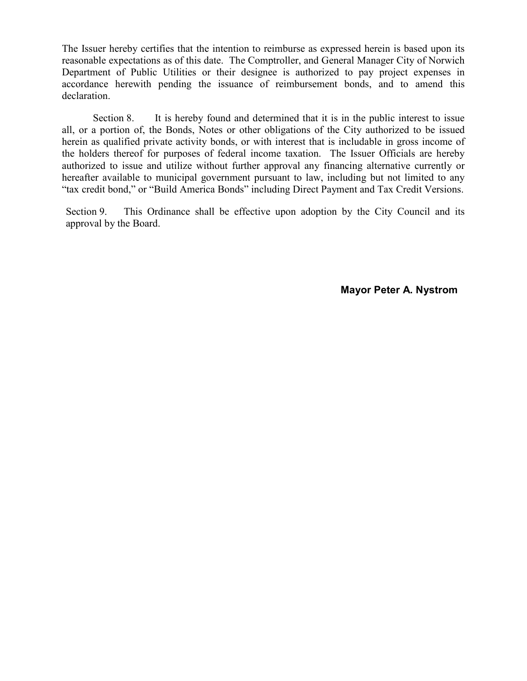The Issuer hereby certifies that the intention to reimburse as expressed herein is based upon its reasonable expectations as of this date. The Comptroller, and General Manager City of Norwich Department of Public Utilities or their designee is authorized to pay project expenses in accordance herewith pending the issuance of reimbursement bonds, and to amend this declaration.

Section 8. It is hereby found and determined that it is in the public interest to issue all, or a portion of, the Bonds, Notes or other obligations of the City authorized to be issued herein as qualified private activity bonds, or with interest that is includable in gross income of the holders thereof for purposes of federal income taxation. The Issuer Officials are hereby authorized to issue and utilize without further approval any financing alternative currently or hereafter available to municipal government pursuant to law, including but not limited to any "tax credit bond," or "Build America Bonds" including Direct Payment and Tax Credit Versions.

Section 9. This Ordinance shall be effective upon adoption by the City Council and its approval by the Board.

**Mayor Peter A. Nystrom**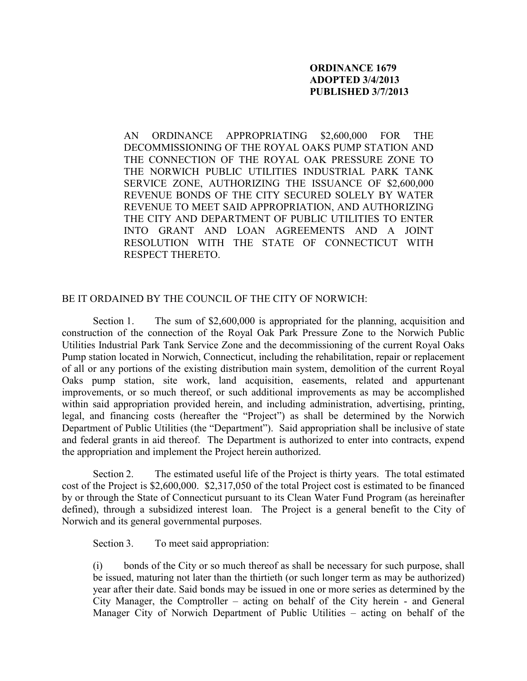## **ORDINANCE 1679 ADOPTED 3/4/2013 PUBLISHED 3/7/2013**

AN ORDINANCE APPROPRIATING \$2,600,000 FOR THE DECOMMISSIONING OF THE ROYAL OAKS PUMP STATION AND THE CONNECTION OF THE ROYAL OAK PRESSURE ZONE TO THE NORWICH PUBLIC UTILITIES INDUSTRIAL PARK TANK SERVICE ZONE, AUTHORIZING THE ISSUANCE OF \$2,600,000 REVENUE BONDS OF THE CITY SECURED SOLELY BY WATER REVENUE TO MEET SAID APPROPRIATION, AND AUTHORIZING THE CITY AND DEPARTMENT OF PUBLIC UTILITIES TO ENTER INTO GRANT AND LOAN AGREEMENTS AND A JOINT RESOLUTION WITH THE STATE OF CONNECTICUT WITH RESPECT THERETO.

## BE IT ORDAINED BY THE COUNCIL OF THE CITY OF NORWICH:

Section 1. The sum of \$2,600,000 is appropriated for the planning, acquisition and construction of the connection of the Royal Oak Park Pressure Zone to the Norwich Public Utilities Industrial Park Tank Service Zone and the decommissioning of the current Royal Oaks Pump station located in Norwich, Connecticut, including the rehabilitation, repair or replacement of all or any portions of the existing distribution main system, demolition of the current Royal Oaks pump station, site work, land acquisition, easements, related and appurtenant improvements, or so much thereof, or such additional improvements as may be accomplished within said appropriation provided herein, and including administration, advertising, printing, legal, and financing costs (hereafter the "Project") as shall be determined by the Norwich Department of Public Utilities (the "Department"). Said appropriation shall be inclusive of state and federal grants in aid thereof. The Department is authorized to enter into contracts, expend the appropriation and implement the Project herein authorized.

Section 2. The estimated useful life of the Project is thirty years. The total estimated cost of the Project is \$2,600,000. \$2,317,050 of the total Project cost is estimated to be financed by or through the State of Connecticut pursuant to its Clean Water Fund Program (as hereinafter defined), through a subsidized interest loan. The Project is a general benefit to the City of Norwich and its general governmental purposes.

Section 3. To meet said appropriation:

(i) bonds of the City or so much thereof as shall be necessary for such purpose, shall be issued, maturing not later than the thirtieth (or such longer term as may be authorized) year after their date. Said bonds may be issued in one or more series as determined by the City Manager, the Comptroller – acting on behalf of the City herein - and General Manager City of Norwich Department of Public Utilities – acting on behalf of the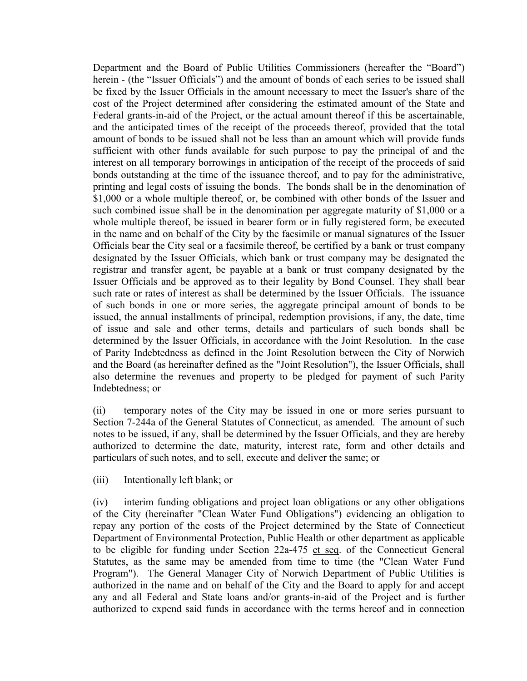Department and the Board of Public Utilities Commissioners (hereafter the "Board") herein - (the "Issuer Officials") and the amount of bonds of each series to be issued shall be fixed by the Issuer Officials in the amount necessary to meet the Issuer's share of the cost of the Project determined after considering the estimated amount of the State and Federal grants-in-aid of the Project, or the actual amount thereof if this be ascertainable, and the anticipated times of the receipt of the proceeds thereof, provided that the total amount of bonds to be issued shall not be less than an amount which will provide funds sufficient with other funds available for such purpose to pay the principal of and the interest on all temporary borrowings in anticipation of the receipt of the proceeds of said bonds outstanding at the time of the issuance thereof, and to pay for the administrative, printing and legal costs of issuing the bonds. The bonds shall be in the denomination of \$1,000 or a whole multiple thereof, or, be combined with other bonds of the Issuer and such combined issue shall be in the denomination per aggregate maturity of \$1,000 or a whole multiple thereof, be issued in bearer form or in fully registered form, be executed in the name and on behalf of the City by the facsimile or manual signatures of the Issuer Officials bear the City seal or a facsimile thereof, be certified by a bank or trust company designated by the Issuer Officials, which bank or trust company may be designated the registrar and transfer agent, be payable at a bank or trust company designated by the Issuer Officials and be approved as to their legality by Bond Counsel. They shall bear such rate or rates of interest as shall be determined by the Issuer Officials. The issuance of such bonds in one or more series, the aggregate principal amount of bonds to be issued, the annual installments of principal, redemption provisions, if any, the date, time of issue and sale and other terms, details and particulars of such bonds shall be determined by the Issuer Officials, in accordance with the Joint Resolution. In the case of Parity Indebtedness as defined in the Joint Resolution between the City of Norwich and the Board (as hereinafter defined as the "Joint Resolution"), the Issuer Officials, shall also determine the revenues and property to be pledged for payment of such Parity Indebtedness; or

(ii) temporary notes of the City may be issued in one or more series pursuant to Section 7-244a of the General Statutes of Connecticut, as amended. The amount of such notes to be issued, if any, shall be determined by the Issuer Officials, and they are hereby authorized to determine the date, maturity, interest rate, form and other details and particulars of such notes, and to sell, execute and deliver the same; or

(iii) Intentionally left blank; or

(iv) interim funding obligations and project loan obligations or any other obligations of the City (hereinafter "Clean Water Fund Obligations") evidencing an obligation to repay any portion of the costs of the Project determined by the State of Connecticut Department of Environmental Protection, Public Health or other department as applicable to be eligible for funding under Section 22a-475 et seq. of the Connecticut General Statutes, as the same may be amended from time to time (the "Clean Water Fund Program"). The General Manager City of Norwich Department of Public Utilities is authorized in the name and on behalf of the City and the Board to apply for and accept any and all Federal and State loans and/or grants-in-aid of the Project and is further authorized to expend said funds in accordance with the terms hereof and in connection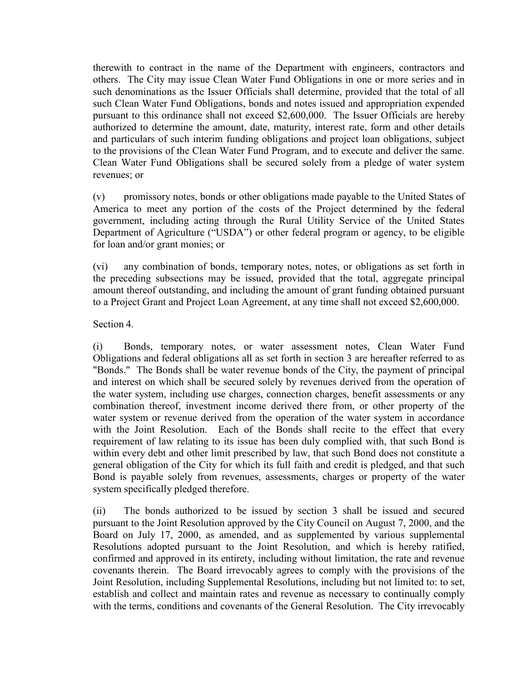therewith to contract in the name of the Department with engineers, contractors and others. The City may issue Clean Water Fund Obligations in one or more series and in such denominations as the Issuer Officials shall determine, provided that the total of all such Clean Water Fund Obligations, bonds and notes issued and appropriation expended pursuant to this ordinance shall not exceed \$2,600,000. The Issuer Officials are hereby authorized to determine the amount, date, maturity, interest rate, form and other details and particulars of such interim funding obligations and project loan obligations, subject to the provisions of the Clean Water Fund Program, and to execute and deliver the same. Clean Water Fund Obligations shall be secured solely from a pledge of water system revenues; or

(v) promissory notes, bonds or other obligations made payable to the United States of America to meet any portion of the costs of the Project determined by the federal government, including acting through the Rural Utility Service of the United States Department of Agriculture ("USDA") or other federal program or agency, to be eligible for loan and/or grant monies; or

(vi) any combination of bonds, temporary notes, notes, or obligations as set forth in the preceding subsections may be issued, provided that the total, aggregate principal amount thereof outstanding, and including the amount of grant funding obtained pursuant to a Project Grant and Project Loan Agreement, at any time shall not exceed \$2,600,000.

## Section 4.

(i) Bonds, temporary notes, or water assessment notes, Clean Water Fund Obligations and federal obligations all as set forth in section 3 are hereafter referred to as "Bonds." The Bonds shall be water revenue bonds of the City, the payment of principal and interest on which shall be secured solely by revenues derived from the operation of the water system, including use charges, connection charges, benefit assessments or any combination thereof, investment income derived there from, or other property of the water system or revenue derived from the operation of the water system in accordance with the Joint Resolution. Each of the Bonds shall recite to the effect that every requirement of law relating to its issue has been duly complied with, that such Bond is within every debt and other limit prescribed by law, that such Bond does not constitute a general obligation of the City for which its full faith and credit is pledged, and that such Bond is payable solely from revenues, assessments, charges or property of the water system specifically pledged therefore.

(ii) The bonds authorized to be issued by section 3 shall be issued and secured pursuant to the Joint Resolution approved by the City Council on August 7, 2000, and the Board on July 17, 2000, as amended, and as supplemented by various supplemental Resolutions adopted pursuant to the Joint Resolution, and which is hereby ratified, confirmed and approved in its entirety, including without limitation, the rate and revenue covenants therein. The Board irrevocably agrees to comply with the provisions of the Joint Resolution, including Supplemental Resolutions, including but not limited to: to set, establish and collect and maintain rates and revenue as necessary to continually comply with the terms, conditions and covenants of the General Resolution. The City irrevocably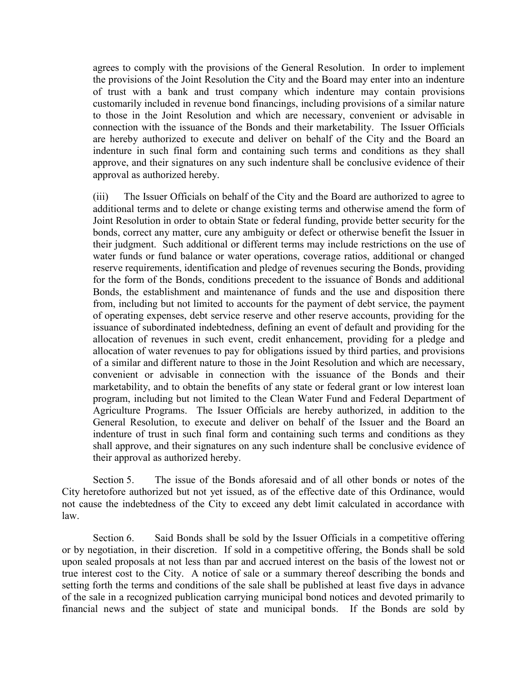agrees to comply with the provisions of the General Resolution. In order to implement the provisions of the Joint Resolution the City and the Board may enter into an indenture of trust with a bank and trust company which indenture may contain provisions customarily included in revenue bond financings, including provisions of a similar nature to those in the Joint Resolution and which are necessary, convenient or advisable in connection with the issuance of the Bonds and their marketability. The Issuer Officials are hereby authorized to execute and deliver on behalf of the City and the Board an indenture in such final form and containing such terms and conditions as they shall approve, and their signatures on any such indenture shall be conclusive evidence of their approval as authorized hereby.

(iii) The Issuer Officials on behalf of the City and the Board are authorized to agree to additional terms and to delete or change existing terms and otherwise amend the form of Joint Resolution in order to obtain State or federal funding, provide better security for the bonds, correct any matter, cure any ambiguity or defect or otherwise benefit the Issuer in their judgment. Such additional or different terms may include restrictions on the use of water funds or fund balance or water operations, coverage ratios, additional or changed reserve requirements, identification and pledge of revenues securing the Bonds, providing for the form of the Bonds, conditions precedent to the issuance of Bonds and additional Bonds, the establishment and maintenance of funds and the use and disposition there from, including but not limited to accounts for the payment of debt service, the payment of operating expenses, debt service reserve and other reserve accounts, providing for the issuance of subordinated indebtedness, defining an event of default and providing for the allocation of revenues in such event, credit enhancement, providing for a pledge and allocation of water revenues to pay for obligations issued by third parties, and provisions of a similar and different nature to those in the Joint Resolution and which are necessary, convenient or advisable in connection with the issuance of the Bonds and their marketability, and to obtain the benefits of any state or federal grant or low interest loan program, including but not limited to the Clean Water Fund and Federal Department of Agriculture Programs. The Issuer Officials are hereby authorized, in addition to the General Resolution, to execute and deliver on behalf of the Issuer and the Board an indenture of trust in such final form and containing such terms and conditions as they shall approve, and their signatures on any such indenture shall be conclusive evidence of their approval as authorized hereby.

Section 5. The issue of the Bonds aforesaid and of all other bonds or notes of the City heretofore authorized but not yet issued, as of the effective date of this Ordinance, would not cause the indebtedness of the City to exceed any debt limit calculated in accordance with law.

Section 6. Said Bonds shall be sold by the Issuer Officials in a competitive offering or by negotiation, in their discretion. If sold in a competitive offering, the Bonds shall be sold upon sealed proposals at not less than par and accrued interest on the basis of the lowest not or true interest cost to the City. A notice of sale or a summary thereof describing the bonds and setting forth the terms and conditions of the sale shall be published at least five days in advance of the sale in a recognized publication carrying municipal bond notices and devoted primarily to financial news and the subject of state and municipal bonds. If the Bonds are sold by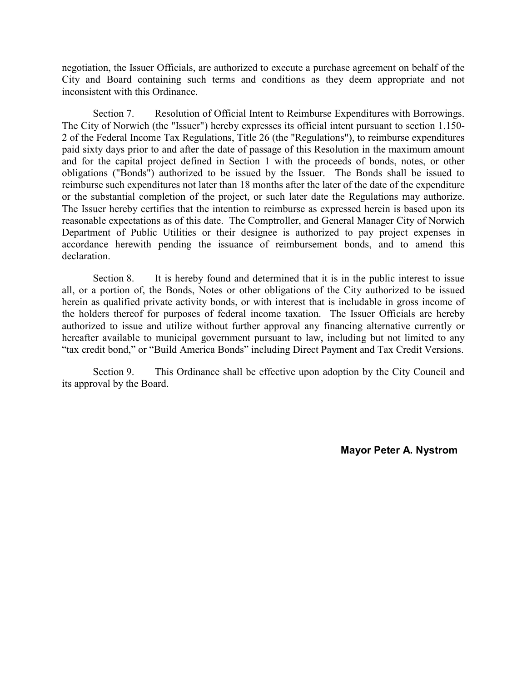negotiation, the Issuer Officials, are authorized to execute a purchase agreement on behalf of the City and Board containing such terms and conditions as they deem appropriate and not inconsistent with this Ordinance.

Section 7. Resolution of Official Intent to Reimburse Expenditures with Borrowings. The City of Norwich (the "Issuer") hereby expresses its official intent pursuant to section 1.150- 2 of the Federal Income Tax Regulations, Title 26 (the "Regulations"), to reimburse expenditures paid sixty days prior to and after the date of passage of this Resolution in the maximum amount and for the capital project defined in Section 1 with the proceeds of bonds, notes, or other obligations ("Bonds") authorized to be issued by the Issuer. The Bonds shall be issued to reimburse such expenditures not later than 18 months after the later of the date of the expenditure or the substantial completion of the project, or such later date the Regulations may authorize. The Issuer hereby certifies that the intention to reimburse as expressed herein is based upon its reasonable expectations as of this date. The Comptroller, and General Manager City of Norwich Department of Public Utilities or their designee is authorized to pay project expenses in accordance herewith pending the issuance of reimbursement bonds, and to amend this declaration.

Section 8. It is hereby found and determined that it is in the public interest to issue all, or a portion of, the Bonds, Notes or other obligations of the City authorized to be issued herein as qualified private activity bonds, or with interest that is includable in gross income of the holders thereof for purposes of federal income taxation. The Issuer Officials are hereby authorized to issue and utilize without further approval any financing alternative currently or hereafter available to municipal government pursuant to law, including but not limited to any "tax credit bond," or "Build America Bonds" including Direct Payment and Tax Credit Versions.

Section 9. This Ordinance shall be effective upon adoption by the City Council and its approval by the Board.

**Mayor Peter A. Nystrom**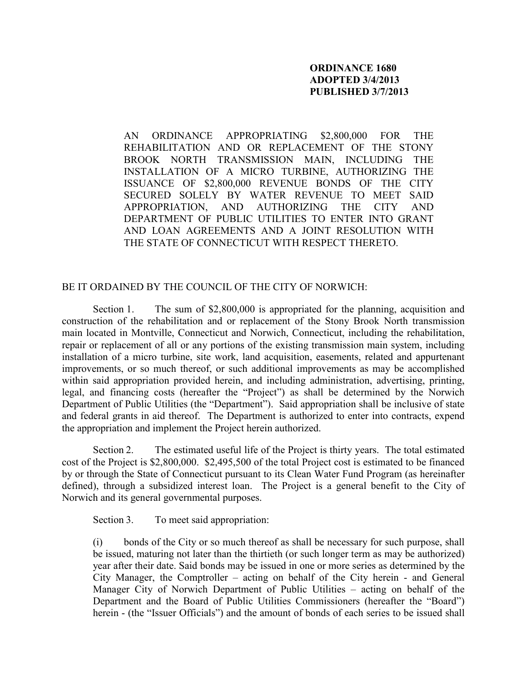## **ORDINANCE 1680 ADOPTED 3/4/2013 PUBLISHED 3/7/2013**

AN ORDINANCE APPROPRIATING \$2,800,000 FOR THE REHABILITATION AND OR REPLACEMENT OF THE STONY BROOK NORTH TRANSMISSION MAIN, INCLUDING THE INSTALLATION OF A MICRO TURBINE, AUTHORIZING THE ISSUANCE OF \$2,800,000 REVENUE BONDS OF THE CITY SECURED SOLELY BY WATER REVENUE TO MEET SAID APPROPRIATION, AND AUTHORIZING THE CITY AND DEPARTMENT OF PUBLIC UTILITIES TO ENTER INTO GRANT AND LOAN AGREEMENTS AND A JOINT RESOLUTION WITH THE STATE OF CONNECTICUT WITH RESPECT THERETO.

#### BE IT ORDAINED BY THE COUNCIL OF THE CITY OF NORWICH:

Section 1. The sum of \$2,800,000 is appropriated for the planning, acquisition and construction of the rehabilitation and or replacement of the Stony Brook North transmission main located in Montville, Connecticut and Norwich, Connecticut, including the rehabilitation, repair or replacement of all or any portions of the existing transmission main system, including installation of a micro turbine, site work, land acquisition, easements, related and appurtenant improvements, or so much thereof, or such additional improvements as may be accomplished within said appropriation provided herein, and including administration, advertising, printing, legal, and financing costs (hereafter the "Project") as shall be determined by the Norwich Department of Public Utilities (the "Department"). Said appropriation shall be inclusive of state and federal grants in aid thereof. The Department is authorized to enter into contracts, expend the appropriation and implement the Project herein authorized.

Section 2. The estimated useful life of the Project is thirty years. The total estimated cost of the Project is \$2,800,000. \$2,495,500 of the total Project cost is estimated to be financed by or through the State of Connecticut pursuant to its Clean Water Fund Program (as hereinafter defined), through a subsidized interest loan. The Project is a general benefit to the City of Norwich and its general governmental purposes.

Section 3. To meet said appropriation:

(i) bonds of the City or so much thereof as shall be necessary for such purpose, shall be issued, maturing not later than the thirtieth (or such longer term as may be authorized) year after their date. Said bonds may be issued in one or more series as determined by the City Manager, the Comptroller – acting on behalf of the City herein - and General Manager City of Norwich Department of Public Utilities – acting on behalf of the Department and the Board of Public Utilities Commissioners (hereafter the "Board") herein - (the "Issuer Officials") and the amount of bonds of each series to be issued shall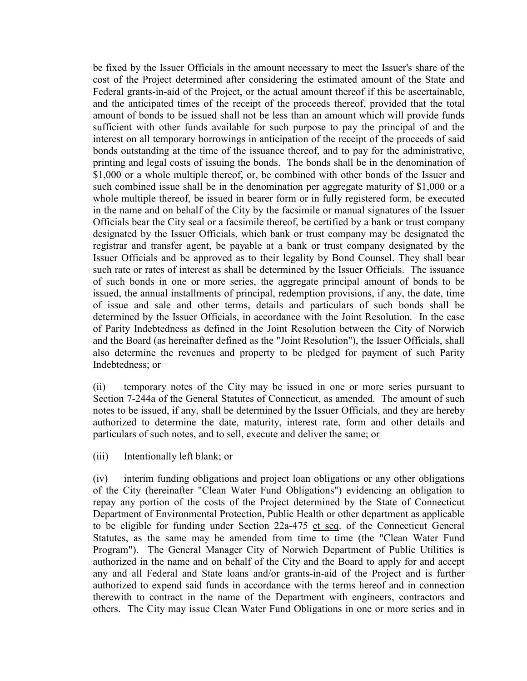be fixed by the Issuer Officials in the amount necessary to meet the Issuer's share of the cost of the Project determined after considering the estimated amount of the State and Federal grants-in-aid of the Project, or the actual amount thereof if this be ascertainable, and the anticipated times of the receipt of the proceeds thereof, provided that the total amount of bonds to be issued shall not be less than an amount which will provide funds sufficient with other funds available for such purpose to pay the principal of and the interest on all temporary borrowings in anticipation of the receipt of the proceeds of said bonds outstanding at the time of the issuance thereof, and to pay for the administrative, printing and legal costs of issuing the bonds. The bonds shall be in the denomination of \$1,000 or a whole multiple thereof, or, be combined with other bonds of the Issuer and such combined issue shall be in the denomination per aggregate maturity of \$1,000 or a whole multiple thereof, be issued in bearer form or in fully registered form, be executed in the name and on behalf of the City by the facsimile or manual signatures of the Issuer Officials bear the City seal or a facsimile thereof, be certified by a bank or trust company designated by the Issuer Officials, which bank or trust company may be designated the registrar and transfer agent, be payable at a bank or trust company designated by the Issuer Officials and be approved as to their legality by Bond Counsel. They shall bear such rate or rates of interest as shall be determined by the Issuer Officials. The issuance of such bonds in one or more series, the aggregate principal amount of bonds to be issued, the annual installments of principal, redemption provisions, if any, the date, time of issue and sale and other terms, details and particulars of such bonds shall be determined by the Issuer Officials, in accordance with the Joint Resolution. In the case of Parity Indebtedness as defined in the Joint Resolution between the City of Norwich and the Board (as hereinafter defined as the "Joint Resolution"), the Issuer Officials, shall also determine the revenues and property to be pledged for payment of such Parity Indebtedness; or

(ii) temporary notes of the City may be issued in one or more series pursuant to Section 7-244a of the General Statutes of Connecticut, as amended. The amount of such notes to be issued, if any, shall be determined by the Issuer Officials, and they are hereby authorized to determine the date, maturity, interest rate, form and other details and particulars of such notes, and to sell, execute and deliver the same; or

(iii) Intentionally left blank; or

(iv) interim funding obligations and project loan obligations or any other obligations of the City (hereinafter "Clean Water Fund Obligations") evidencing an obligation to repay any portion of the costs of the Project determined by the State of Connecticut Department of Environmental Protection, Public Health or other department as applicable to be eligible for funding under Section 22a-475 et seq. of the Connecticut General Statutes, as the same may be amended from time to time (the "Clean Water Fund Program"). The General Manager City of Norwich Department of Public Utilities is authorized in the name and on behalf of the City and the Board to apply for and accept any and all Federal and State loans and/or grants-in-aid of the Project and is further authorized to expend said funds in accordance with the terms hereof and in connection therewith to contract in the name of the Department with engineers, contractors and others. The City may issue Clean Water Fund Obligations in one or more series and in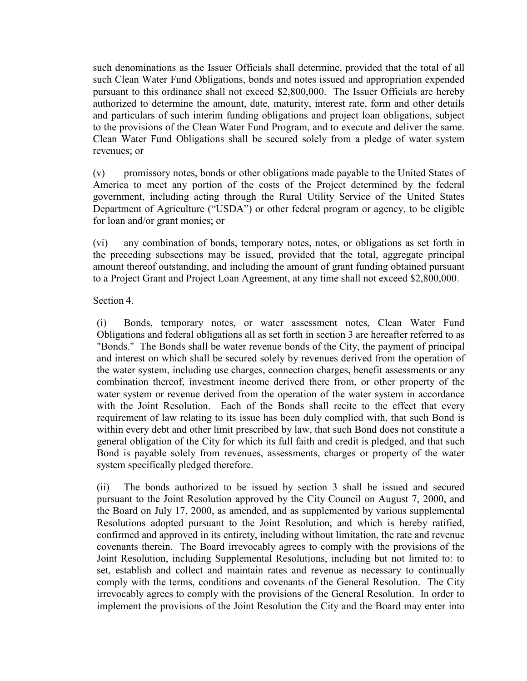such denominations as the Issuer Officials shall determine, provided that the total of all such Clean Water Fund Obligations, bonds and notes issued and appropriation expended pursuant to this ordinance shall not exceed \$2,800,000. The Issuer Officials are hereby authorized to determine the amount, date, maturity, interest rate, form and other details and particulars of such interim funding obligations and project loan obligations, subject to the provisions of the Clean Water Fund Program, and to execute and deliver the same. Clean Water Fund Obligations shall be secured solely from a pledge of water system revenues; or

(v) promissory notes, bonds or other obligations made payable to the United States of America to meet any portion of the costs of the Project determined by the federal government, including acting through the Rural Utility Service of the United States Department of Agriculture ("USDA") or other federal program or agency, to be eligible for loan and/or grant monies; or

(vi) any combination of bonds, temporary notes, notes, or obligations as set forth in the preceding subsections may be issued, provided that the total, aggregate principal amount thereof outstanding, and including the amount of grant funding obtained pursuant to a Project Grant and Project Loan Agreement, at any time shall not exceed \$2,800,000.

Section 4.

(i) Bonds, temporary notes, or water assessment notes, Clean Water Fund Obligations and federal obligations all as set forth in section 3 are hereafter referred to as "Bonds." The Bonds shall be water revenue bonds of the City, the payment of principal and interest on which shall be secured solely by revenues derived from the operation of the water system, including use charges, connection charges, benefit assessments or any combination thereof, investment income derived there from, or other property of the water system or revenue derived from the operation of the water system in accordance with the Joint Resolution. Each of the Bonds shall recite to the effect that every requirement of law relating to its issue has been duly complied with, that such Bond is within every debt and other limit prescribed by law, that such Bond does not constitute a general obligation of the City for which its full faith and credit is pledged, and that such Bond is payable solely from revenues, assessments, charges or property of the water system specifically pledged therefore.

(ii) The bonds authorized to be issued by section 3 shall be issued and secured pursuant to the Joint Resolution approved by the City Council on August 7, 2000, and the Board on July 17, 2000, as amended, and as supplemented by various supplemental Resolutions adopted pursuant to the Joint Resolution, and which is hereby ratified, confirmed and approved in its entirety, including without limitation, the rate and revenue covenants therein. The Board irrevocably agrees to comply with the provisions of the Joint Resolution, including Supplemental Resolutions, including but not limited to: to set, establish and collect and maintain rates and revenue as necessary to continually comply with the terms, conditions and covenants of the General Resolution. The City irrevocably agrees to comply with the provisions of the General Resolution. In order to implement the provisions of the Joint Resolution the City and the Board may enter into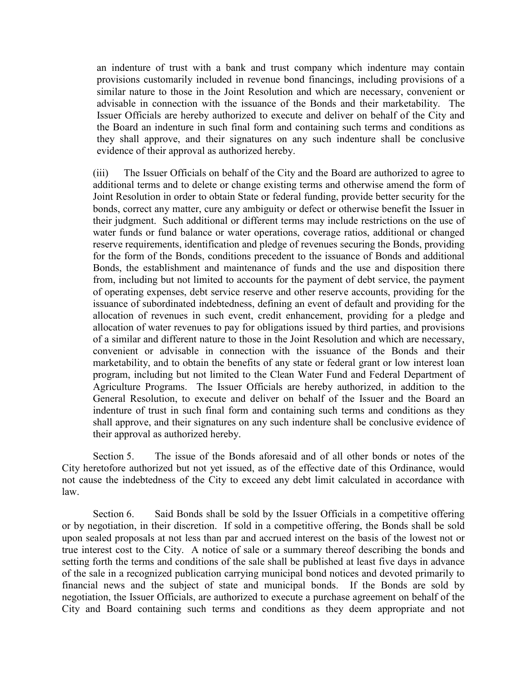an indenture of trust with a bank and trust company which indenture may contain provisions customarily included in revenue bond financings, including provisions of a similar nature to those in the Joint Resolution and which are necessary, convenient or advisable in connection with the issuance of the Bonds and their marketability. The Issuer Officials are hereby authorized to execute and deliver on behalf of the City and the Board an indenture in such final form and containing such terms and conditions as they shall approve, and their signatures on any such indenture shall be conclusive evidence of their approval as authorized hereby.

(iii) The Issuer Officials on behalf of the City and the Board are authorized to agree to additional terms and to delete or change existing terms and otherwise amend the form of Joint Resolution in order to obtain State or federal funding, provide better security for the bonds, correct any matter, cure any ambiguity or defect or otherwise benefit the Issuer in their judgment. Such additional or different terms may include restrictions on the use of water funds or fund balance or water operations, coverage ratios, additional or changed reserve requirements, identification and pledge of revenues securing the Bonds, providing for the form of the Bonds, conditions precedent to the issuance of Bonds and additional Bonds, the establishment and maintenance of funds and the use and disposition there from, including but not limited to accounts for the payment of debt service, the payment of operating expenses, debt service reserve and other reserve accounts, providing for the issuance of subordinated indebtedness, defining an event of default and providing for the allocation of revenues in such event, credit enhancement, providing for a pledge and allocation of water revenues to pay for obligations issued by third parties, and provisions of a similar and different nature to those in the Joint Resolution and which are necessary, convenient or advisable in connection with the issuance of the Bonds and their marketability, and to obtain the benefits of any state or federal grant or low interest loan program, including but not limited to the Clean Water Fund and Federal Department of Agriculture Programs. The Issuer Officials are hereby authorized, in addition to the General Resolution, to execute and deliver on behalf of the Issuer and the Board an indenture of trust in such final form and containing such terms and conditions as they shall approve, and their signatures on any such indenture shall be conclusive evidence of their approval as authorized hereby.

Section 5. The issue of the Bonds aforesaid and of all other bonds or notes of the City heretofore authorized but not yet issued, as of the effective date of this Ordinance, would not cause the indebtedness of the City to exceed any debt limit calculated in accordance with law.

Section 6. Said Bonds shall be sold by the Issuer Officials in a competitive offering or by negotiation, in their discretion. If sold in a competitive offering, the Bonds shall be sold upon sealed proposals at not less than par and accrued interest on the basis of the lowest not or true interest cost to the City. A notice of sale or a summary thereof describing the bonds and setting forth the terms and conditions of the sale shall be published at least five days in advance of the sale in a recognized publication carrying municipal bond notices and devoted primarily to financial news and the subject of state and municipal bonds. If the Bonds are sold by negotiation, the Issuer Officials, are authorized to execute a purchase agreement on behalf of the City and Board containing such terms and conditions as they deem appropriate and not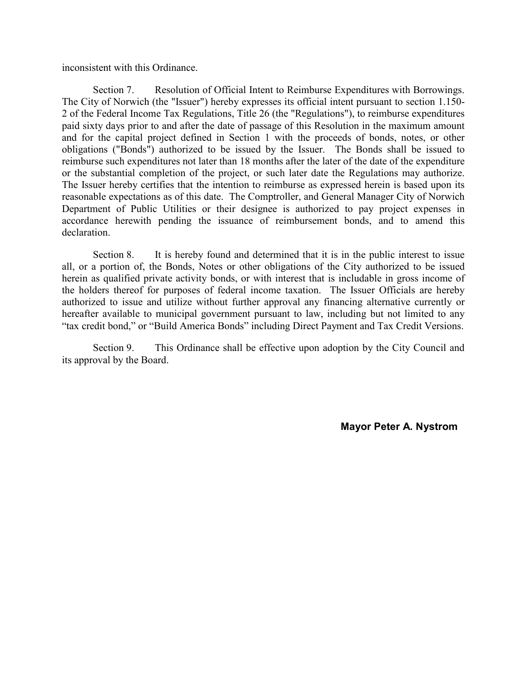inconsistent with this Ordinance.

Section 7. Resolution of Official Intent to Reimburse Expenditures with Borrowings. The City of Norwich (the "Issuer") hereby expresses its official intent pursuant to section 1.150- 2 of the Federal Income Tax Regulations, Title 26 (the "Regulations"), to reimburse expenditures paid sixty days prior to and after the date of passage of this Resolution in the maximum amount and for the capital project defined in Section 1 with the proceeds of bonds, notes, or other obligations ("Bonds") authorized to be issued by the Issuer. The Bonds shall be issued to reimburse such expenditures not later than 18 months after the later of the date of the expenditure or the substantial completion of the project, or such later date the Regulations may authorize. The Issuer hereby certifies that the intention to reimburse as expressed herein is based upon its reasonable expectations as of this date. The Comptroller, and General Manager City of Norwich Department of Public Utilities or their designee is authorized to pay project expenses in accordance herewith pending the issuance of reimbursement bonds, and to amend this declaration.

Section 8. It is hereby found and determined that it is in the public interest to issue all, or a portion of, the Bonds, Notes or other obligations of the City authorized to be issued herein as qualified private activity bonds, or with interest that is includable in gross income of the holders thereof for purposes of federal income taxation. The Issuer Officials are hereby authorized to issue and utilize without further approval any financing alternative currently or hereafter available to municipal government pursuant to law, including but not limited to any "tax credit bond," or "Build America Bonds" including Direct Payment and Tax Credit Versions.

Section 9. This Ordinance shall be effective upon adoption by the City Council and its approval by the Board.

**Mayor Peter A. Nystrom**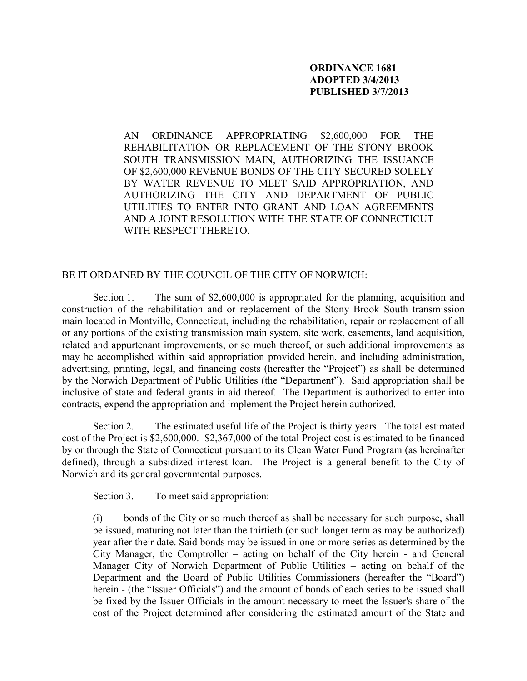## **ORDINANCE 1681 ADOPTED 3/4/2013 PUBLISHED 3/7/2013**

AN ORDINANCE APPROPRIATING \$2,600,000 FOR THE REHABILITATION OR REPLACEMENT OF THE STONY BROOK SOUTH TRANSMISSION MAIN, AUTHORIZING THE ISSUANCE OF \$2,600,000 REVENUE BONDS OF THE CITY SECURED SOLELY BY WATER REVENUE TO MEET SAID APPROPRIATION, AND AUTHORIZING THE CITY AND DEPARTMENT OF PUBLIC UTILITIES TO ENTER INTO GRANT AND LOAN AGREEMENTS AND A JOINT RESOLUTION WITH THE STATE OF CONNECTICUT WITH RESPECT THERETO.

#### BE IT ORDAINED BY THE COUNCIL OF THE CITY OF NORWICH:

Section 1. The sum of \$2,600,000 is appropriated for the planning, acquisition and construction of the rehabilitation and or replacement of the Stony Brook South transmission main located in Montville, Connecticut, including the rehabilitation, repair or replacement of all or any portions of the existing transmission main system, site work, easements, land acquisition, related and appurtenant improvements, or so much thereof, or such additional improvements as may be accomplished within said appropriation provided herein, and including administration, advertising, printing, legal, and financing costs (hereafter the "Project") as shall be determined by the Norwich Department of Public Utilities (the "Department"). Said appropriation shall be inclusive of state and federal grants in aid thereof. The Department is authorized to enter into contracts, expend the appropriation and implement the Project herein authorized.

Section 2. The estimated useful life of the Project is thirty years. The total estimated cost of the Project is \$2,600,000. \$2,367,000 of the total Project cost is estimated to be financed by or through the State of Connecticut pursuant to its Clean Water Fund Program (as hereinafter defined), through a subsidized interest loan. The Project is a general benefit to the City of Norwich and its general governmental purposes.

Section 3. To meet said appropriation:

(i) bonds of the City or so much thereof as shall be necessary for such purpose, shall be issued, maturing not later than the thirtieth (or such longer term as may be authorized) year after their date. Said bonds may be issued in one or more series as determined by the City Manager, the Comptroller – acting on behalf of the City herein - and General Manager City of Norwich Department of Public Utilities – acting on behalf of the Department and the Board of Public Utilities Commissioners (hereafter the "Board") herein - (the "Issuer Officials") and the amount of bonds of each series to be issued shall be fixed by the Issuer Officials in the amount necessary to meet the Issuer's share of the cost of the Project determined after considering the estimated amount of the State and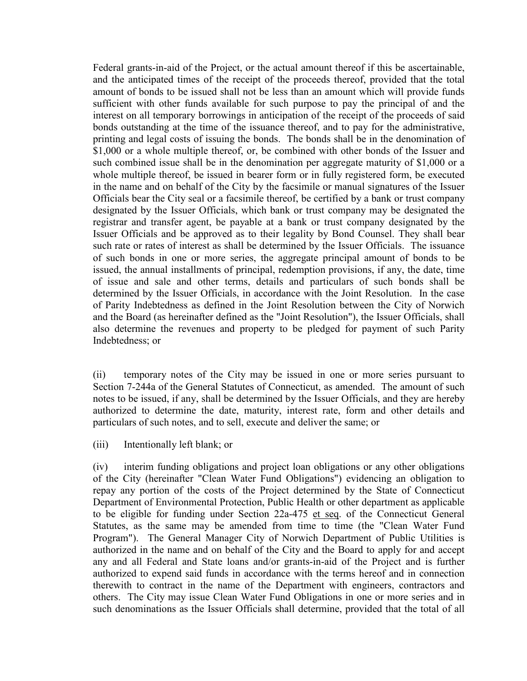Federal grants-in-aid of the Project, or the actual amount thereof if this be ascertainable, and the anticipated times of the receipt of the proceeds thereof, provided that the total amount of bonds to be issued shall not be less than an amount which will provide funds sufficient with other funds available for such purpose to pay the principal of and the interest on all temporary borrowings in anticipation of the receipt of the proceeds of said bonds outstanding at the time of the issuance thereof, and to pay for the administrative, printing and legal costs of issuing the bonds. The bonds shall be in the denomination of \$1,000 or a whole multiple thereof, or, be combined with other bonds of the Issuer and such combined issue shall be in the denomination per aggregate maturity of \$1,000 or a whole multiple thereof, be issued in bearer form or in fully registered form, be executed in the name and on behalf of the City by the facsimile or manual signatures of the Issuer Officials bear the City seal or a facsimile thereof, be certified by a bank or trust company designated by the Issuer Officials, which bank or trust company may be designated the registrar and transfer agent, be payable at a bank or trust company designated by the Issuer Officials and be approved as to their legality by Bond Counsel. They shall bear such rate or rates of interest as shall be determined by the Issuer Officials. The issuance of such bonds in one or more series, the aggregate principal amount of bonds to be issued, the annual installments of principal, redemption provisions, if any, the date, time of issue and sale and other terms, details and particulars of such bonds shall be determined by the Issuer Officials, in accordance with the Joint Resolution. In the case of Parity Indebtedness as defined in the Joint Resolution between the City of Norwich and the Board (as hereinafter defined as the "Joint Resolution"), the Issuer Officials, shall also determine the revenues and property to be pledged for payment of such Parity Indebtedness; or

(ii) temporary notes of the City may be issued in one or more series pursuant to Section 7-244a of the General Statutes of Connecticut, as amended. The amount of such notes to be issued, if any, shall be determined by the Issuer Officials, and they are hereby authorized to determine the date, maturity, interest rate, form and other details and particulars of such notes, and to sell, execute and deliver the same; or

(iii) Intentionally left blank; or

(iv) interim funding obligations and project loan obligations or any other obligations of the City (hereinafter "Clean Water Fund Obligations") evidencing an obligation to repay any portion of the costs of the Project determined by the State of Connecticut Department of Environmental Protection, Public Health or other department as applicable to be eligible for funding under Section 22a-475 et seq. of the Connecticut General Statutes, as the same may be amended from time to time (the "Clean Water Fund Program"). The General Manager City of Norwich Department of Public Utilities is authorized in the name and on behalf of the City and the Board to apply for and accept any and all Federal and State loans and/or grants-in-aid of the Project and is further authorized to expend said funds in accordance with the terms hereof and in connection therewith to contract in the name of the Department with engineers, contractors and others. The City may issue Clean Water Fund Obligations in one or more series and in such denominations as the Issuer Officials shall determine, provided that the total of all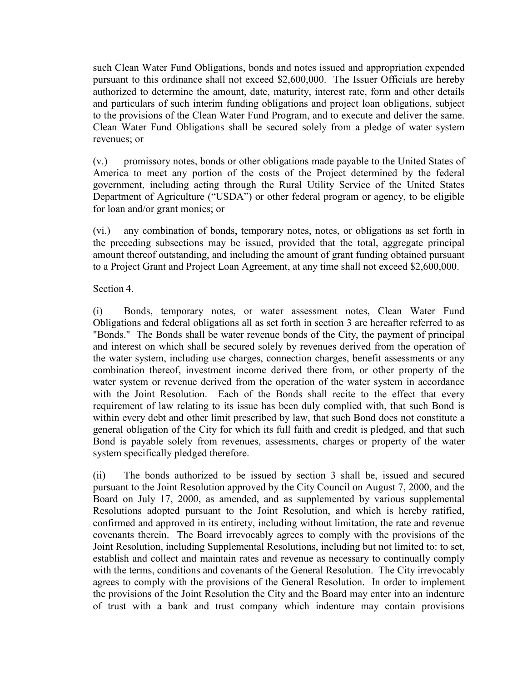such Clean Water Fund Obligations, bonds and notes issued and appropriation expended pursuant to this ordinance shall not exceed \$2,600,000. The Issuer Officials are hereby authorized to determine the amount, date, maturity, interest rate, form and other details and particulars of such interim funding obligations and project loan obligations, subject to the provisions of the Clean Water Fund Program, and to execute and deliver the same. Clean Water Fund Obligations shall be secured solely from a pledge of water system revenues; or

(v.) promissory notes, bonds or other obligations made payable to the United States of America to meet any portion of the costs of the Project determined by the federal government, including acting through the Rural Utility Service of the United States Department of Agriculture ("USDA") or other federal program or agency, to be eligible for loan and/or grant monies; or

(vi.) any combination of bonds, temporary notes, notes, or obligations as set forth in the preceding subsections may be issued, provided that the total, aggregate principal amount thereof outstanding, and including the amount of grant funding obtained pursuant to a Project Grant and Project Loan Agreement, at any time shall not exceed \$2,600,000.

Section 4.

(i) Bonds, temporary notes, or water assessment notes, Clean Water Fund Obligations and federal obligations all as set forth in section 3 are hereafter referred to as "Bonds." The Bonds shall be water revenue bonds of the City, the payment of principal and interest on which shall be secured solely by revenues derived from the operation of the water system, including use charges, connection charges, benefit assessments or any combination thereof, investment income derived there from, or other property of the water system or revenue derived from the operation of the water system in accordance with the Joint Resolution. Each of the Bonds shall recite to the effect that every requirement of law relating to its issue has been duly complied with, that such Bond is within every debt and other limit prescribed by law, that such Bond does not constitute a general obligation of the City for which its full faith and credit is pledged, and that such Bond is payable solely from revenues, assessments, charges or property of the water system specifically pledged therefore.

(ii) The bonds authorized to be issued by section 3 shall be, issued and secured pursuant to the Joint Resolution approved by the City Council on August 7, 2000, and the Board on July 17, 2000, as amended, and as supplemented by various supplemental Resolutions adopted pursuant to the Joint Resolution, and which is hereby ratified, confirmed and approved in its entirety, including without limitation, the rate and revenue covenants therein. The Board irrevocably agrees to comply with the provisions of the Joint Resolution, including Supplemental Resolutions, including but not limited to: to set, establish and collect and maintain rates and revenue as necessary to continually comply with the terms, conditions and covenants of the General Resolution. The City irrevocably agrees to comply with the provisions of the General Resolution. In order to implement the provisions of the Joint Resolution the City and the Board may enter into an indenture of trust with a bank and trust company which indenture may contain provisions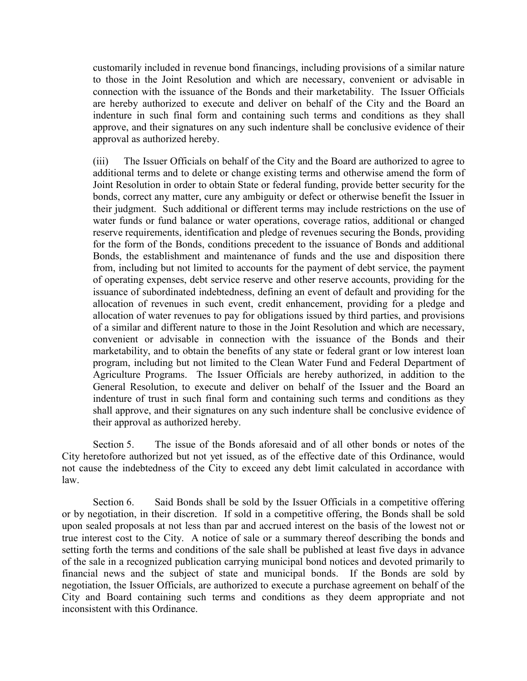customarily included in revenue bond financings, including provisions of a similar nature to those in the Joint Resolution and which are necessary, convenient or advisable in connection with the issuance of the Bonds and their marketability. The Issuer Officials are hereby authorized to execute and deliver on behalf of the City and the Board an indenture in such final form and containing such terms and conditions as they shall approve, and their signatures on any such indenture shall be conclusive evidence of their approval as authorized hereby.

(iii) The Issuer Officials on behalf of the City and the Board are authorized to agree to additional terms and to delete or change existing terms and otherwise amend the form of Joint Resolution in order to obtain State or federal funding, provide better security for the bonds, correct any matter, cure any ambiguity or defect or otherwise benefit the Issuer in their judgment. Such additional or different terms may include restrictions on the use of water funds or fund balance or water operations, coverage ratios, additional or changed reserve requirements, identification and pledge of revenues securing the Bonds, providing for the form of the Bonds, conditions precedent to the issuance of Bonds and additional Bonds, the establishment and maintenance of funds and the use and disposition there from, including but not limited to accounts for the payment of debt service, the payment of operating expenses, debt service reserve and other reserve accounts, providing for the issuance of subordinated indebtedness, defining an event of default and providing for the allocation of revenues in such event, credit enhancement, providing for a pledge and allocation of water revenues to pay for obligations issued by third parties, and provisions of a similar and different nature to those in the Joint Resolution and which are necessary, convenient or advisable in connection with the issuance of the Bonds and their marketability, and to obtain the benefits of any state or federal grant or low interest loan program, including but not limited to the Clean Water Fund and Federal Department of Agriculture Programs. The Issuer Officials are hereby authorized, in addition to the General Resolution, to execute and deliver on behalf of the Issuer and the Board an indenture of trust in such final form and containing such terms and conditions as they shall approve, and their signatures on any such indenture shall be conclusive evidence of their approval as authorized hereby.

Section 5. The issue of the Bonds aforesaid and of all other bonds or notes of the City heretofore authorized but not yet issued, as of the effective date of this Ordinance, would not cause the indebtedness of the City to exceed any debt limit calculated in accordance with law.

Section 6. Said Bonds shall be sold by the Issuer Officials in a competitive offering or by negotiation, in their discretion. If sold in a competitive offering, the Bonds shall be sold upon sealed proposals at not less than par and accrued interest on the basis of the lowest not or true interest cost to the City. A notice of sale or a summary thereof describing the bonds and setting forth the terms and conditions of the sale shall be published at least five days in advance of the sale in a recognized publication carrying municipal bond notices and devoted primarily to financial news and the subject of state and municipal bonds. If the Bonds are sold by negotiation, the Issuer Officials, are authorized to execute a purchase agreement on behalf of the City and Board containing such terms and conditions as they deem appropriate and not inconsistent with this Ordinance.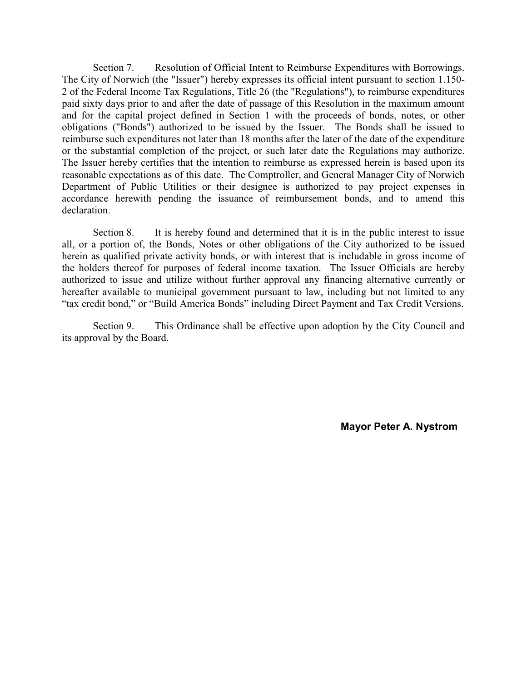Section 7. Resolution of Official Intent to Reimburse Expenditures with Borrowings. The City of Norwich (the "Issuer") hereby expresses its official intent pursuant to section 1.150- 2 of the Federal Income Tax Regulations, Title 26 (the "Regulations"), to reimburse expenditures paid sixty days prior to and after the date of passage of this Resolution in the maximum amount and for the capital project defined in Section 1 with the proceeds of bonds, notes, or other obligations ("Bonds") authorized to be issued by the Issuer. The Bonds shall be issued to reimburse such expenditures not later than 18 months after the later of the date of the expenditure or the substantial completion of the project, or such later date the Regulations may authorize. The Issuer hereby certifies that the intention to reimburse as expressed herein is based upon its reasonable expectations as of this date. The Comptroller, and General Manager City of Norwich Department of Public Utilities or their designee is authorized to pay project expenses in accordance herewith pending the issuance of reimbursement bonds, and to amend this declaration.

Section 8. It is hereby found and determined that it is in the public interest to issue all, or a portion of, the Bonds, Notes or other obligations of the City authorized to be issued herein as qualified private activity bonds, or with interest that is includable in gross income of the holders thereof for purposes of federal income taxation. The Issuer Officials are hereby authorized to issue and utilize without further approval any financing alternative currently or hereafter available to municipal government pursuant to law, including but not limited to any "tax credit bond," or "Build America Bonds" including Direct Payment and Tax Credit Versions.

Section 9. This Ordinance shall be effective upon adoption by the City Council and its approval by the Board.

**Mayor Peter A. Nystrom**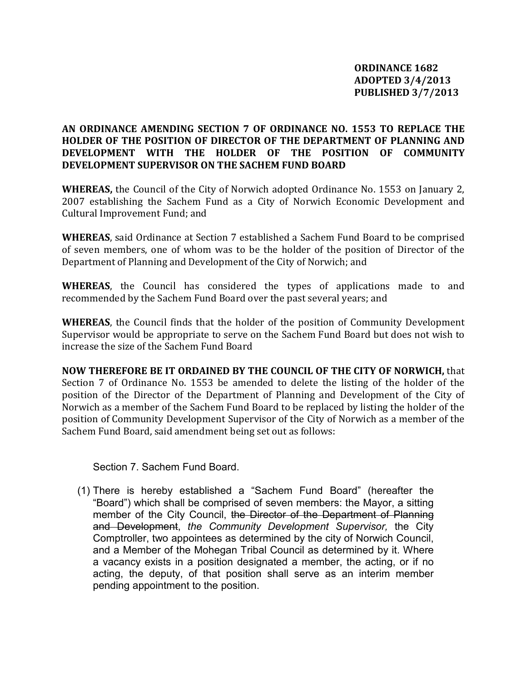# **AN ORDINANCE AMENDING SECTION 7 OF ORDINANCE NO. 1553 TO REPLACE THE HOLDER OF THE POSITION OF DIRECTOR OF THE DEPARTMENT OF PLANNING AND DEVELOPMENT WITH THE HOLDER OF THE POSITION OF COMMUNITY DEVELOPMENT SUPERVISOR ON THE SACHEM FUND BOARD**

**WHEREAS,** the Council of the City of Norwich adopted Ordinance No. 1553 on January 2, 2007 establishing the Sachem Fund as a City of Norwich Economic Development and Cultural Improvement Fund; and

**WHEREAS**, said Ordinance at Section 7 established a Sachem Fund Board to be comprised of seven members, one of whom was to be the holder of the position of Director of the Department of Planning and Development of the City of Norwich; and

**WHEREAS**, the Council has considered the types of applications made to and recommended by the Sachem Fund Board over the past several years; and

**WHEREAS**, the Council finds that the holder of the position of Community Development Supervisor would be appropriate to serve on the Sachem Fund Board but does not wish to increase the size of the Sachem Fund Board

**NOW THEREFORE BE IT ORDAINED BY THE COUNCIL OF THE CITY OF NORWICH,** that Section 7 of Ordinance No. 1553 be amended to delete the listing of the holder of the position of the Director of the Department of Planning and Development of the City of Norwich as a member of the Sachem Fund Board to be replaced by listing the holder of the position of Community Development Supervisor of the City of Norwich as a member of the Sachem Fund Board, said amendment being set out as follows:

Section 7. Sachem Fund Board.

(1) There is hereby established a "Sachem Fund Board" (hereafter the "Board") which shall be comprised of seven members: the Mayor, a sitting member of the City Council, the Director of the Department of Planning and Development, *the Community Development Supervisor,* the City Comptroller, two appointees as determined by the city of Norwich Council, and a Member of the Mohegan Tribal Council as determined by it. Where a vacancy exists in a position designated a member, the acting, or if no acting, the deputy, of that position shall serve as an interim member pending appointment to the position.